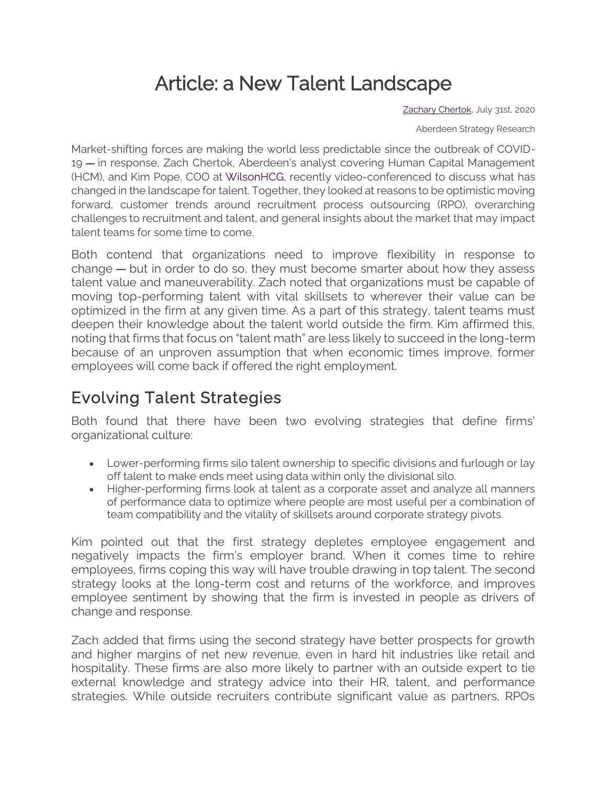## Article: a New Talent Landscape

[Zachary Chertok,](https://www.aberdeen.com/author/zchertok/) July 31st, 2020

Aberdeen Strategy Research

Market-shifting forces are making the world less predictable since the outbreak of COVID-19 — in response, Zach Chertok, Aberdeen's analyst covering Human Capital Management (HCM), and Kim Pope, COO at [WilsonHCG,](https://www.wilsonhcg.com/) recently video-conferenced to discuss what has changed in the landscape for talent. Together, they looked at reasons to be optimistic moving forward, customer trends around recruitment process outsourcing (RPO), overarching challenges to recruitment and talent, and general insights about the market that may impact talent teams for some time to come.

Both contend that organizations need to improve flexibility in response to change — but in order to do so, they must become smarter about how they assess talent value and maneuverability. Zach noted that organizations must be capable of moving top-performing talent with vital skillsets to wherever their value can be optimized in the firm at any given time. As a part of this strategy, talent teams must deepen their knowledge about the talent world outside the firm. Kim affirmed this, noting that firms that focus on "talent math" are less likely to succeed in the long-term because of an unproven assumption that when economic times improve, former employees will come back if offered the right employment.

## Evolving Talent Strategies

Both found that there have been two evolving strategies that define firms' organizational culture:

- Lower-performing firms silo talent ownership to specific divisions and furlough or lay off talent to make ends meet using data within only the divisional silo.
- Higher-performing firms look at talent as a corporate asset and analyze all manners of performance data to optimize where people are most useful per a combination of team compatibility and the vitality of skillsets around corporate strategy pivots.

Kim pointed out that the first strategy depletes employee engagement and negatively impacts the firm's employer brand. When it comes time to rehire employees, firms coping this way will have trouble drawing in top talent. The second strategy looks at the long-term cost and returns of the workforce, and improves employee sentiment by showing that the firm is invested in people as drivers of change and response.

Zach added that firms using the second strategy have better prospects for growth and higher margins of net new revenue, even in hard hit industries like retail and hospitality. These firms are also more likely to partner with an outside expert to tie external knowledge and strategy advice into their HR, talent, and performance strategies. While outside recruiters contribute significant value as partners, RPOs